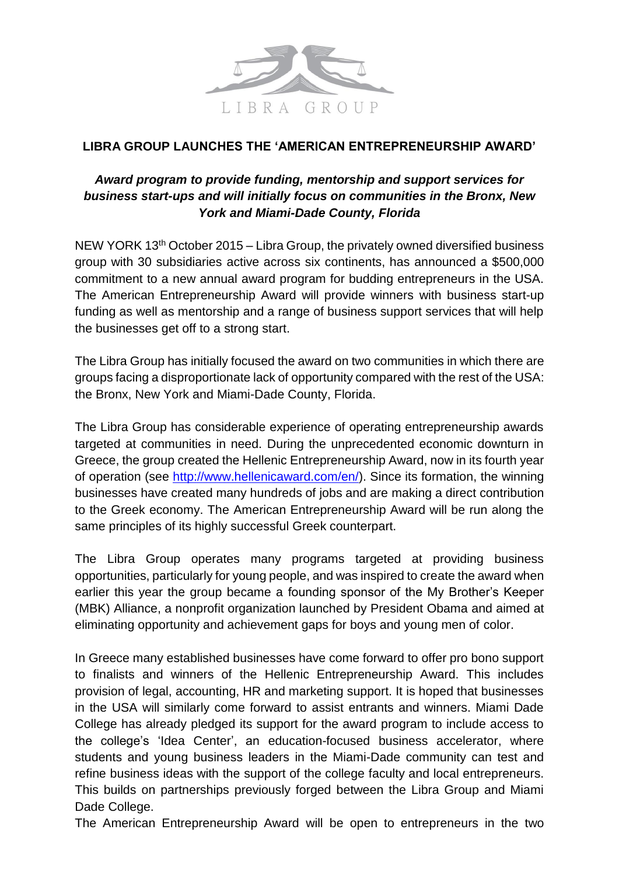

## **LIBRA GROUP LAUNCHES THE 'AMERICAN ENTREPRENEURSHIP AWARD'**

## *Award program to provide funding, mentorship and support services for business start-ups and will initially focus on communities in the Bronx, New York and Miami-Dade County, Florida*

NEW YORK 13th October 2015 – Libra Group, the privately owned diversified business group with 30 subsidiaries active across six continents, has announced a \$500,000 commitment to a new annual award program for budding entrepreneurs in the USA. The American Entrepreneurship Award will provide winners with business start-up funding as well as mentorship and a range of business support services that will help the businesses get off to a strong start.

The Libra Group has initially focused the award on two communities in which there are groups facing a disproportionate lack of opportunity compared with the rest of the USA: the Bronx, New York and Miami-Dade County, Florida.

The Libra Group has considerable experience of operating entrepreneurship awards targeted at communities in need. During the unprecedented economic downturn in Greece, the group created the Hellenic Entrepreneurship Award, now in its fourth year of operation (see [http://www.hellenicaward.com/en/\)](http://www.hellenicaward.com/en/). Since its formation, the winning businesses have created many hundreds of jobs and are making a direct contribution to the Greek economy. The American Entrepreneurship Award will be run along the same principles of its highly successful Greek counterpart.

The Libra Group operates many programs targeted at providing business opportunities, particularly for young people, and was inspired to create the award when earlier this year the group became a founding sponsor of the My Brother's Keeper (MBK) Alliance, a nonprofit organization launched by President Obama and aimed at eliminating opportunity and achievement gaps for boys and young men of color.

In Greece many established businesses have come forward to offer pro bono support to finalists and winners of the Hellenic Entrepreneurship Award. This includes provision of legal, accounting, HR and marketing support. It is hoped that businesses in the USA will similarly come forward to assist entrants and winners. Miami Dade College has already pledged its support for the award program to include access to the college's 'Idea Center', an education-focused business accelerator, where students and young business leaders in the Miami-Dade community can test and refine business ideas with the support of the college faculty and local entrepreneurs. This builds on partnerships previously forged between the Libra Group and Miami Dade College.

The American Entrepreneurship Award will be open to entrepreneurs in the two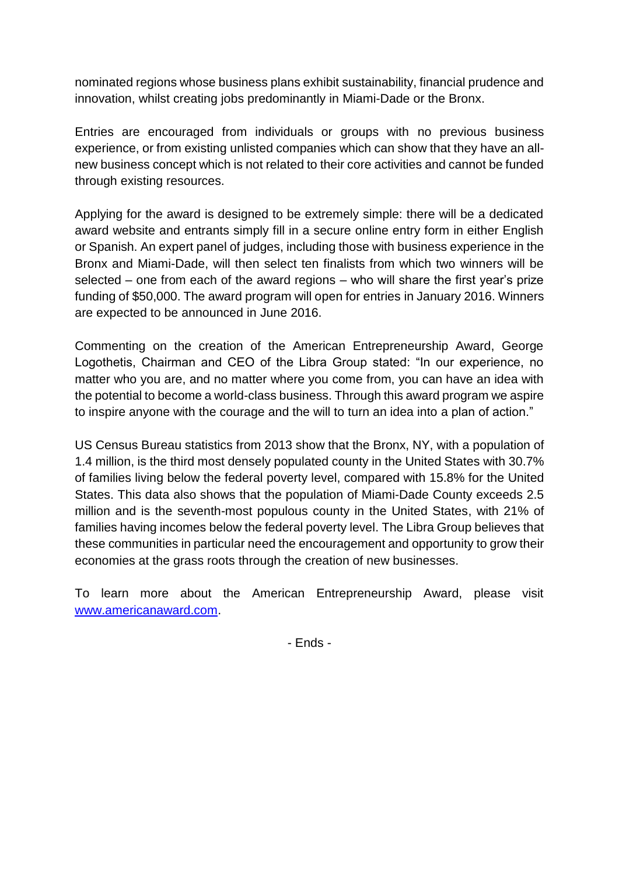nominated regions whose business plans exhibit sustainability, financial prudence and innovation, whilst creating jobs predominantly in Miami-Dade or the Bronx.

Entries are encouraged from individuals or groups with no previous business experience, or from existing unlisted companies which can show that they have an allnew business concept which is not related to their core activities and cannot be funded through existing resources.

Applying for the award is designed to be extremely simple: there will be a dedicated award website and entrants simply fill in a secure online entry form in either English or Spanish. An expert panel of judges, including those with business experience in the Bronx and Miami-Dade, will then select ten finalists from which two winners will be selected – one from each of the award regions – who will share the first year's prize funding of \$50,000. The award program will open for entries in January 2016. Winners are expected to be announced in June 2016.

Commenting on the creation of the American Entrepreneurship Award, George Logothetis, Chairman and CEO of the Libra Group stated: "In our experience, no matter who you are, and no matter where you come from, you can have an idea with the potential to become a world-class business. Through this award program we aspire to inspire anyone with the courage and the will to turn an idea into a plan of action."

US Census Bureau statistics from 2013 show that the Bronx, NY, with a population of 1.4 million, is the third most densely populated county in the United States with 30.7% of families living below the federal poverty level, compared with 15.8% for the United States. This data also shows that the population of Miami-Dade County exceeds 2.5 million and is the seventh-most populous county in the United States, with 21% of families having incomes below the federal poverty level. The Libra Group believes that these communities in particular need the encouragement and opportunity to grow their economies at the grass roots through the creation of new businesses.

To learn more about the American Entrepreneurship Award, please visit [www.americanaward.com.](http://www.americanaward.com/)

- Ends -